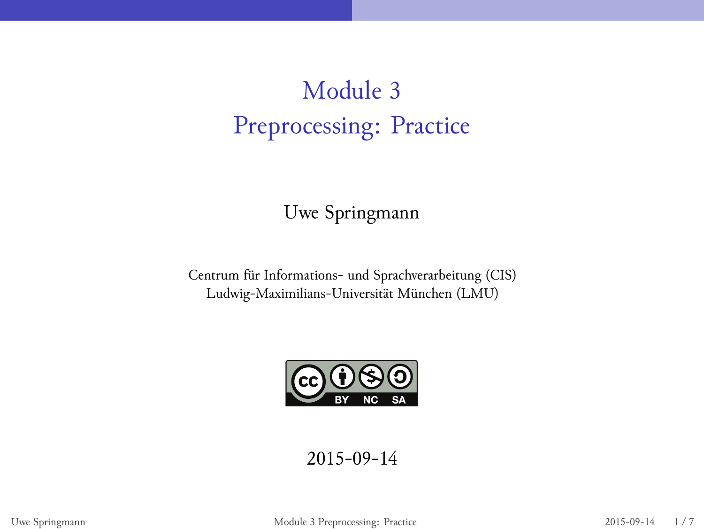# Module 3 Preprocessing: Practice

Uwe Springmann

Centrum für Informations- und Sprachverarbeitung (CIS) Ludwig-Maximilians-Universität München (LMU)



2015-09-14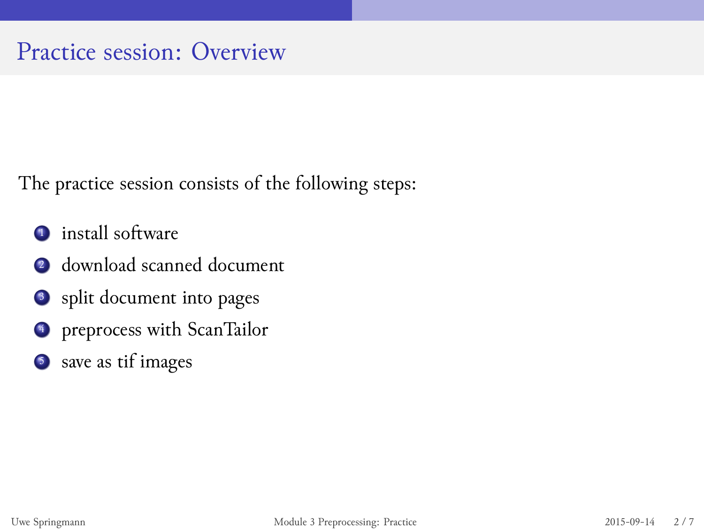### Practice session: Overview

The practice session consists of the following steps:

- **.**1 install software
- .<sup>2</sup> download scanned document
- <sup>3</sup> split document into pages
- <sup>4</sup> preprocess with ScanTailor
- 5. save as tif images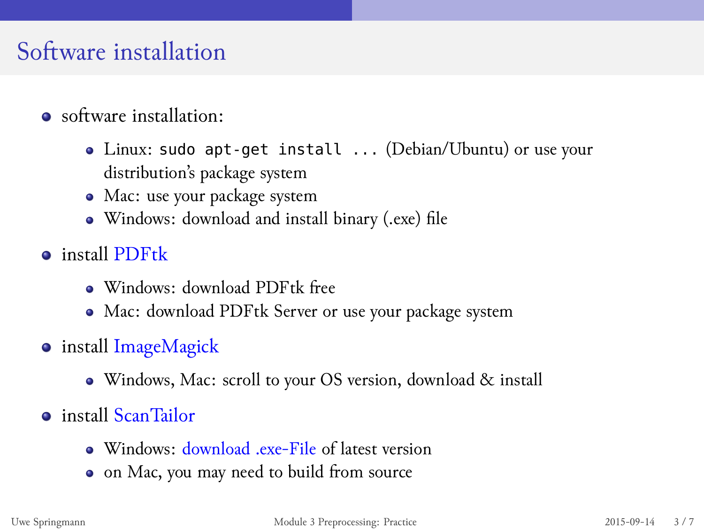### Software installation

- software installation:
	- Linux: sudo apt-get install ... (Debian/Ubuntu) or use your distribution's package system
	- Mac: use your package system
	- Windows: download and install binary (.exe) file
- install PDFtk
	- Windows: download PDFtk free
	- Mac: download PDFtk Server or use your package system
- **·** install ImageMagick
	- Windows, Mac: scroll to your OS version, download & install
- install ScanTailor
	- Windows: download .exe-File of latest version
	- on Mac, you may need to build from source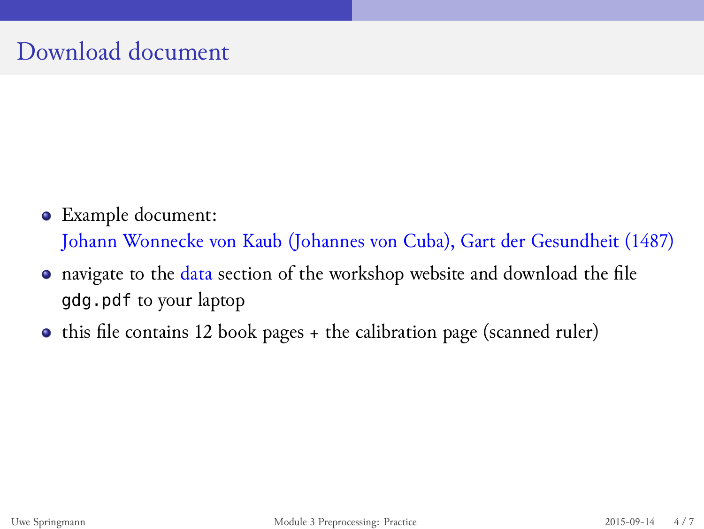## Download document

- Example document: Johann Wonnecke von Kaub (Johannes von Cuba), Gart der Gesundheit (1487)
- navigate to the data section of the workshop website and download the file gdg.pdf to your laptop
- $\bullet\,$  this file contains 12 book pages + the calibration page (scanned ruler)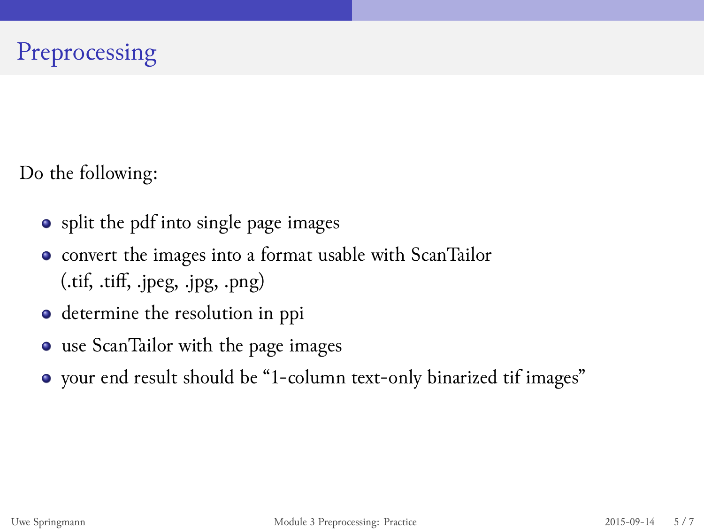# Preprocessing

Do the following:

- split the pdf into single page images
- convert the images into a format usable with ScanTailor (.tif, .tiff, .jpeg, .jpg, .png)
- determine the resolution in ppi
- use ScanTailor with the page images
- your end result should be "1-column text-only binarized tif images"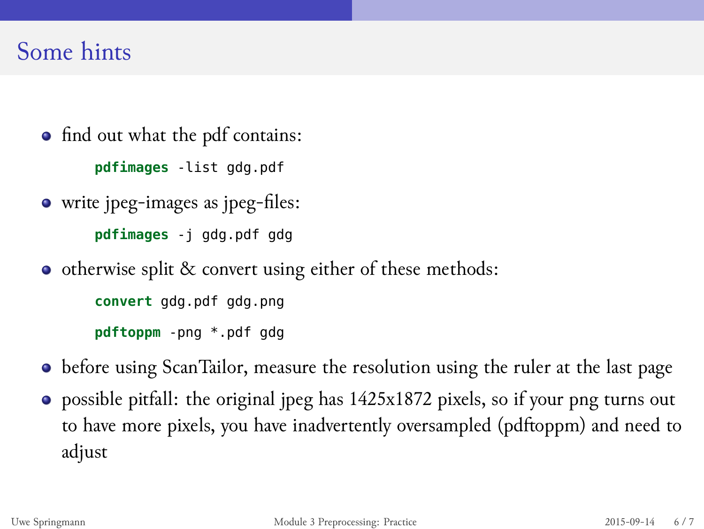### Some hints

- find out what the pdf contains: **pdfimages** -list gdg.pdf
- write jpeg-images as jpeg-files:
	- **pdfimages** -j gdg.pdf gdg
- otherwise split & convert using either of these methods:

**convert** gdg.pdf gdg.png

- **pdftoppm** -png \*.pdf gdg
- before using ScanTailor, measure the resolution using the ruler at the last page
- possible pitfall: the original jpeg has 1425x1872 pixels, so if your png turns out to have more pixels, you have inadvertently oversampled (pdftoppm) and need to adjust